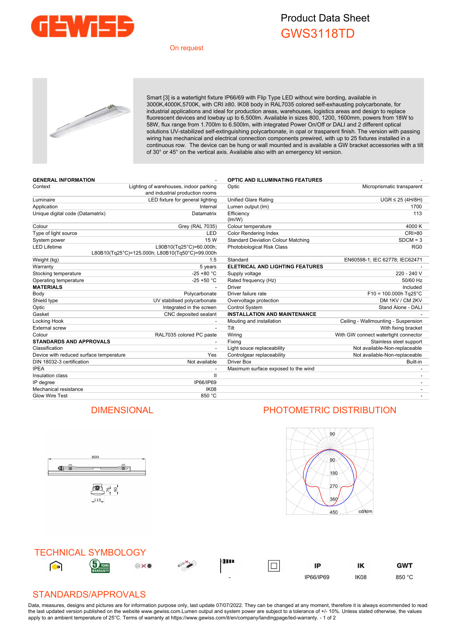

## Product Data Sheet GWS3118TD

#### On request



Smart [3] is a watertight fixture IP66/69 with Flip Type LED without wire bording, available in 3000K,4000K,5700K, with CRI ≥80. IK08 body in RAL7035 colored self-exhausting polycarbonate, for industrial applications and ideal for production areas, warehouses, logistics areas and design to replace fluorescent devices and lowbay up to 6,500lm. Available in sizes 800, 1200, 1600mm, powers from 18W to 58W, flux range from 1.700lm to 6.500lm, with integrated Power On/Off or DALI and 2 different optical solutions UV-stabilized self-extinguishing polycarbonate, in opal or trasparent finish. The version with passing wiring has mechanical and electrical connection components prewired, with up to 25 fixtures installed in a continuous row. The device can be hung or wall mounted and is available a GW bracket accessories with a tilt of 30° or 45° on the vertical axis. Available also with an emergency kit version.

| <b>GENERAL INFORMATION</b>              |                                                                            | <b>OPTIC AND ILLUMINATING FEATURES</b>    |                                      |
|-----------------------------------------|----------------------------------------------------------------------------|-------------------------------------------|--------------------------------------|
| Context                                 | Lighting of warehouses, indoor parking<br>and industrial production rooms  | Optic                                     | Microprismatic transparent           |
| Luminaire                               | LED fixture for general lighting                                           | <b>Unified Glare Rating</b>               | $UGR \leq 25$ (4H/8H)                |
| Application                             | Internal                                                                   | Lumen output (Im)                         | 1700                                 |
| Unique digital code (Datamatrix)        | Datamatrix                                                                 | Efficiency<br>(lm/W)                      | 113                                  |
| Colour                                  | Grey (RAL 7035)                                                            | Colour temperature                        | 4000 K                               |
| Type of light source                    | LED                                                                        | <b>Color Rendering Index</b>              | <b>CRI&gt;80</b>                     |
| System power                            | 15 W                                                                       | <b>Standard Deviation Colour Matching</b> | $SDCM = 3$                           |
| <b>LED Lifetime</b>                     | L90B10(Tg25°C)=60.000h;<br>L80B10(Tq25°C)=125.000h; L80B10(Tq50°C)=99.000h | Photobiological Risk Class                | RG <sub>0</sub>                      |
| Weight (kg)                             | 1.5                                                                        | Standard                                  | EN60598-1; IEC 62778; IEC62471       |
| Warranty                                | 5 years                                                                    | ELETRICAL AND LIGHTING FEATURES           |                                      |
| Stocking temperature                    | $-25 + 80 °C$                                                              | Supply voltage                            | 220 - 240 V                          |
| Operating temperature                   | $-25 + 50 °C$                                                              | Rated frequency (Hz)                      | 50/60 Hz                             |
| <b>MATERIALS</b>                        |                                                                            | Driver                                    | Included                             |
| Body                                    | Polycarbonate                                                              | Driver failure rate                       | $F10 = 100.000h$ Tg25°C              |
| Shield type                             | UV stabilised polycarbonate                                                | Overvoltage protection                    | DM 1KV / CM 2KV                      |
| Optic                                   | Integrated in the screen                                                   | Control System                            | Stand Alone - DALI                   |
| Gasket                                  | CNC deposited sealant                                                      | <b>INSTALLATION AND MAINTENANCE</b>       |                                      |
| Locking Hook                            |                                                                            | Mouting and installation                  | Ceiling - Wallmounting - Suspension  |
| <b>External screw</b>                   | $\overline{a}$                                                             | Tilt                                      | With fixing bracket                  |
| Colour                                  | RAL7035 colored PC paste                                                   | Wiring                                    | With GW connect watertight connector |
| <b>STANDARDS AND APPROVALS</b>          |                                                                            | Fixing                                    | Stainless steel support              |
| Classification                          |                                                                            | Light souce replaceability                | Not available-Non-replaceable        |
| Device with reduced surface temperature | Yes                                                                        | Controlgear replaceability                | Not available-Non-replaceable        |
| DIN 18032-3 certification               | Not available                                                              | <b>Driver Box</b>                         | Built-in                             |
| <b>IPEA</b>                             |                                                                            | Maximum surface exposed to the wind       |                                      |
| Insulation class                        | $\mathbf{I}$                                                               |                                           |                                      |
| IP degree                               | IP66/IP69                                                                  |                                           |                                      |
| Mechanical resistance                   | IK <sub>08</sub>                                                           |                                           |                                      |
| <b>Glow Wire Test</b>                   | 850 °C                                                                     |                                           |                                      |

### DIMENSIONAL PHOTOMETRIC DISTRIBUTION

 $\frac{1}{10}$ 





#### STANDARDS/APPROVALS

800

画片 8

110

(I) de

Data, measures, designs and pictures are for information purpose only, last update 07/07/2022. They can be changed at any moment, therefore it is always ecommended to read the last updated version published on the website www.gewiss.com.Lumen output and system power are subject to a tolerance of +/- 10%. Unless stated otherwise, the values apply to an ambient temperature of 25°C. Terms of warranty at https://www.gewiss.com/it/en/company/landingpage/led-warranty. - 1 of 2